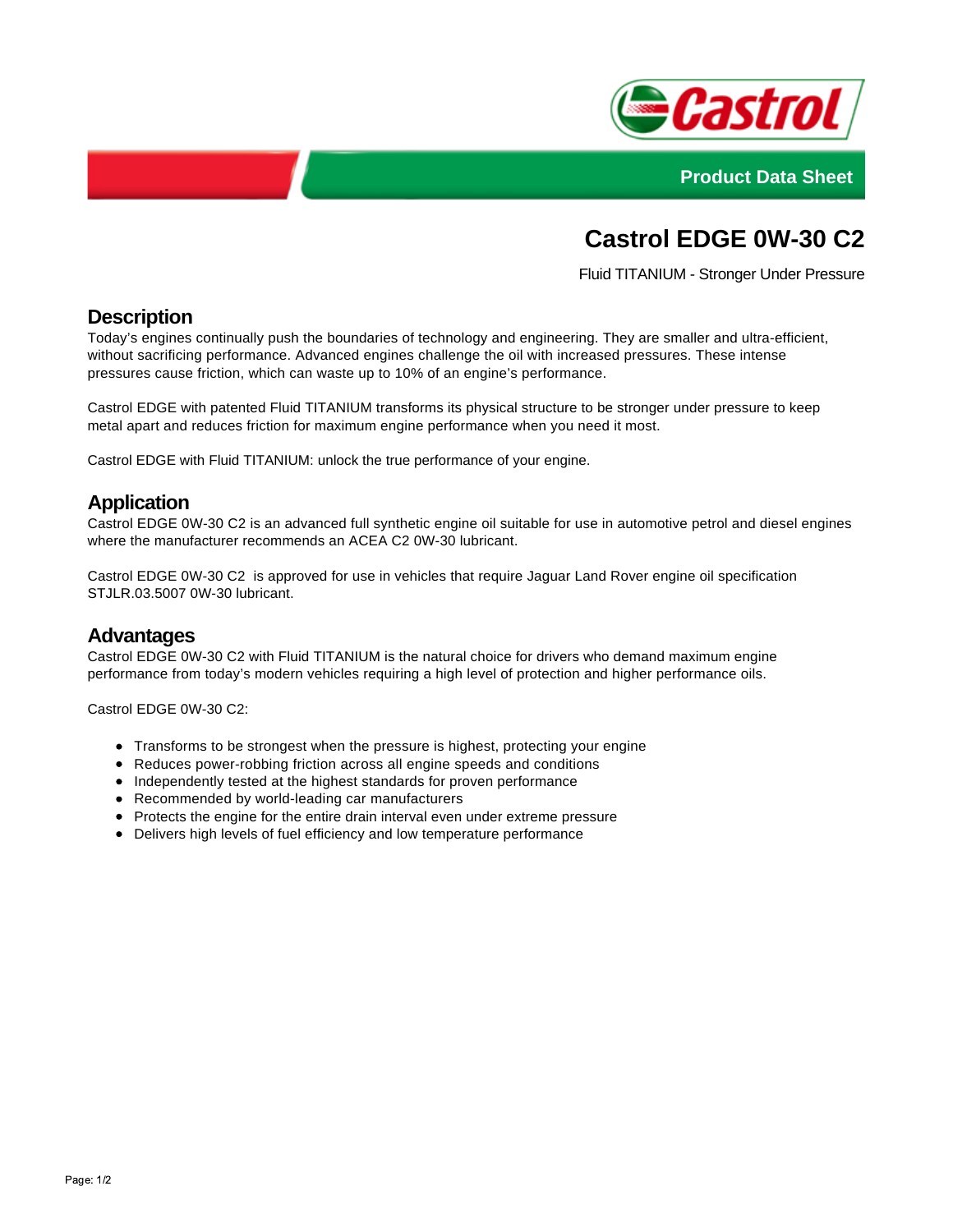



# **Castrol EDGE 0W-30 C2**

Fluid TITANIUM - Stronger Under Pressure

# **Description**

Today's engines continually push the boundaries of technology and engineering. They are smaller and ultra-efficient, without sacrificing performance. Advanced engines challenge the oil with increased pressures. These intense pressures cause friction, which can waste up to 10% of an engine's performance.

Castrol EDGE with patented Fluid TITANIUM transforms its physical structure to be stronger under pressure to keep metal apart and reduces friction for maximum engine performance when you need it most.

Castrol EDGE with Fluid TITANIUM: unlock the true performance of your engine.

### **Application**

Castrol EDGE 0W-30 C2 is an advanced full synthetic engine oil suitable for use in automotive petrol and diesel engines where the manufacturer recommends an ACEA C2 0W-30 lubricant.

Castrol EDGE 0W-30 C2 is approved for use in vehicles that require Jaguar Land Rover engine oil specification STJLR.03.5007 0W-30 lubricant.

#### **Advantages**

Castrol EDGE 0W-30 C2 with Fluid TITANIUM is the natural choice for drivers who demand maximum engine performance from today's modern vehicles requiring a high level of protection and higher performance oils.

Castrol EDGE 0W-30 C2:

- Transforms to be strongest when the pressure is highest, protecting your engine
- Reduces power-robbing friction across all engine speeds and conditions
- Independently tested at the highest standards for proven performance
- Recommended by world-leading car manufacturers
- Protects the engine for the entire drain interval even under extreme pressure
- Delivers high levels of fuel efficiency and low temperature performance